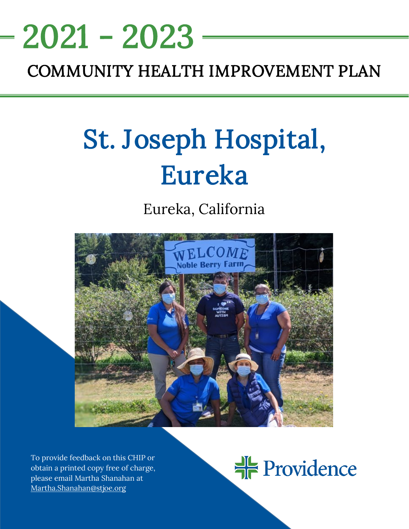# <u>NEEDS ASSESSMENT ASSESSMENT ASSESS</u> 2021 - 2023

# COMMUNITY HEALTH IMPROVEMENT PLAN

# St. Joseph Hospital, Eureka

# Eureka, California



To provide feedback on this CHIP or obtain a printed copy free of charge, please email Martha Shanahan at [Martha.Shanahan@stjoe.org](mailto:Martha.Shanahan@stjoe.org)

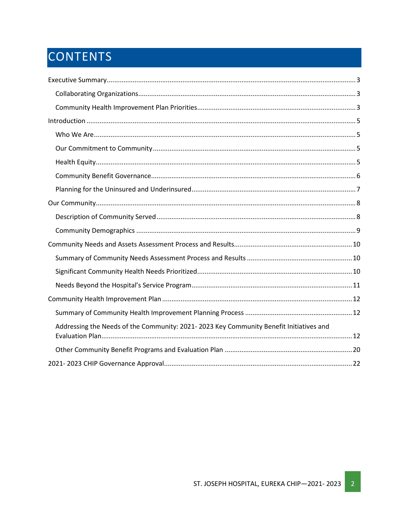# CONTENTS

| Addressing the Needs of the Community: 2021-2023 Key Community Benefit Initiatives and |
|----------------------------------------------------------------------------------------|
|                                                                                        |
|                                                                                        |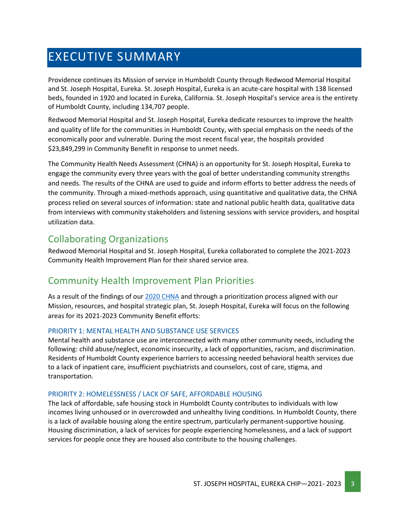# <span id="page-2-0"></span>EXECUTIVE SUMMARY

Providence continues its Mission of service in Humboldt County through Redwood Memorial Hospital and St. Joseph Hospital, Eureka. St. Joseph Hospital, Eureka is an acute-care hospital with 138 licensed beds, founded in 1920 and located in Eureka, California. St. Joseph Hospital's service area is the entirety of Humboldt County, including 134,707 people.

Redwood Memorial Hospital and St. Joseph Hospital, Eureka dedicate resources to improve the health and quality of life for the communities in Humboldt County, with special emphasis on the needs of the economically poor and vulnerable. During the most recent fiscal year, the hospitals provided \$23,849,299 in Community Benefit in response to unmet needs.

The Community Health Needs Assessment (CHNA) is an opportunity for St. Joseph Hospital, Eureka to engage the community every three years with the goal of better understanding community strengths and needs. The results of the CHNA are used to guide and inform efforts to better address the needs of the community. Through a mixed-methods approach, using quantitative and qualitative data, the CHNA process relied on several sources of information: state and national public health data, qualitative data from interviews with community stakeholders and listening sessions with service providers, and hospital utilization data.

# <span id="page-2-1"></span>Collaborating Organizations

Redwood Memorial Hospital and St. Joseph Hospital, Eureka collaborated to complete the 2021-2023 Community Health Improvement Plan for their shared service area.

# <span id="page-2-2"></span>Community Health Improvement Plan Priorities

As a result of the findings of our [2020 CHNA](https://www.providence.org/about/annual-report/chna-and-chip-reports) and through a prioritization process aligned with our Mission, resources, and hospital strategic plan, St. Joseph Hospital, Eureka will focus on the following areas for its 2021-2023 Community Benefit efforts:

#### PRIORITY 1: MENTAL HEALTH AND SUBSTANCE USE SERVICES

Mental health and substance use are interconnected with many other community needs, including the following: child abuse/neglect, economic insecurity, a lack of opportunities, racism, and discrimination. Residents of Humboldt County experience barriers to accessing needed behavioral health services due to a lack of inpatient care, insufficient psychiatrists and counselors, cost of care, stigma, and transportation.

#### PRIORITY 2: HOMELESSNESS / LACK OF SAFE, AFFORDABLE HOUSING

The lack of affordable, safe housing stock in Humboldt County contributes to individuals with low incomes living unhoused or in overcrowded and unhealthy living conditions. In Humboldt County, there is a lack of available housing along the entire spectrum, particularly permanent-supportive housing. Housing discrimination, a lack of services for people experiencing homelessness, and a lack of support services for people once they are housed also contribute to the housing challenges.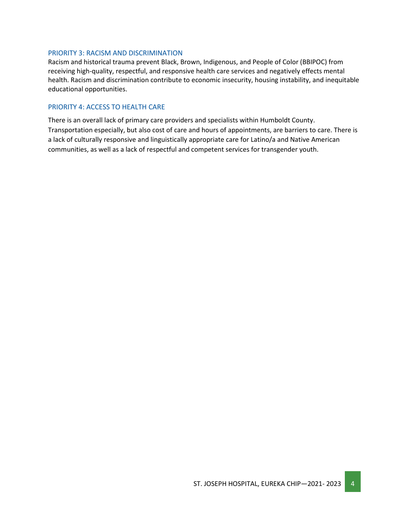#### PRIORITY 3: RACISM AND DISCRIMINATION

Racism and historical trauma prevent Black, Brown, Indigenous, and People of Color (BBIPOC) from receiving high-quality, respectful, and responsive health care services and negatively effects mental health. Racism and discrimination contribute to economic insecurity, housing instability, and inequitable educational opportunities.

#### PRIORITY 4: ACCESS TO HEALTH CARE

There is an overall lack of primary care providers and specialists within Humboldt County. Transportation especially, but also cost of care and hours of appointments, are barriers to care. There is a lack of culturally responsive and linguistically appropriate care for Latino/a and Native American communities, as well as a lack of respectful and competent services for transgender youth.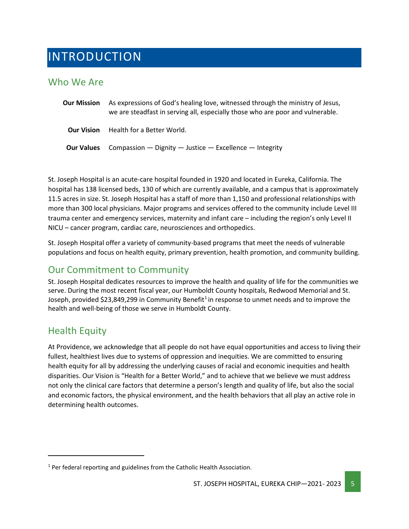# <span id="page-4-0"></span>INTRODUCTION

#### <span id="page-4-1"></span>Who We Are

| <b>Our Mission</b> | As expressions of God's healing love, witnessed through the ministry of Jesus,<br>we are steadfast in serving all, especially those who are poor and vulnerable. |
|--------------------|------------------------------------------------------------------------------------------------------------------------------------------------------------------|
| <b>Our Vision</b>  | Health for a Better World.                                                                                                                                       |
| <b>Our Values</b>  | Compassion $-$ Dignity $-$ Justice $-$ Excellence $-$ Integrity                                                                                                  |

St. Joseph Hospital is an acute-care hospital founded in 1920 and located in Eureka, California. The hospital has 138 licensed beds, 130 of which are currently available, and a campus that is approximately 11.5 acres in size. St. Joseph Hospital has a staff of more than 1,150 and professional relationships with more than 300 local physicians. Major programs and services offered to the community include Level III trauma center and emergency services, maternity and infant care – including the region's only Level II NICU – cancer program, cardiac care, neurosciences and orthopedics.

St. Joseph Hospital offer a variety of community-based programs that meet the needs of vulnerable populations and focus on health equity, primary prevention, health promotion, and community building.

# <span id="page-4-2"></span>Our Commitment to Community

St. Joseph Hospital dedicates resources to improve the health and quality of life for the communities we serve. During the most recent fiscal year, our Humboldt County hospitals, Redwood Memorial and St. Joseph, provided \$23,849,299 in Community Benefit<sup>1</sup> in response to unmet needs and to improve the health and well-being of those we serve in Humboldt County.

# <span id="page-4-3"></span>Health Equity

At Providence, we acknowledge that all people do not have equal opportunities and access to living their fullest, healthiest lives due to systems of oppression and inequities. We are committed to ensuring health equity for all by addressing the underlying causes of racial and economic inequities and health disparities. Our Vision is "Health for a Better World," and to achieve that we believe we must address not only the clinical care factors that determine a person's length and quality of life, but also the social and economic factors, the physical environment, and the health behaviors that all play an active role in determining health outcomes.

<span id="page-4-4"></span> $1$  Per federal reporting and guidelines from the Catholic Health Association.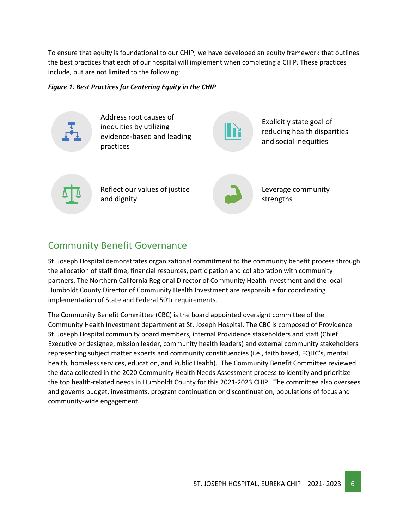To ensure that equity is foundational to our CHIP, we have developed an equity framework that outlines the best practices that each of our hospital will implement when completing a CHIP. These practices include, but are not limited to the following:

#### *Figure 1. Best Practices for Centering Equity in the CHIP*



### <span id="page-5-0"></span>Community Benefit Governance

St. Joseph Hospital demonstrates organizational commitment to the community benefit process through the allocation of staff time, financial resources, participation and collaboration with community partners. The Northern California Regional Director of Community Health Investment and the local Humboldt County Director of Community Health Investment are responsible for coordinating implementation of State and Federal 501r requirements.

The Community Benefit Committee (CBC) is the board appointed oversight committee of the Community Health Investment department at St. Joseph Hospital. The CBC is composed of Providence St. Joseph Hospital community board members, internal Providence stakeholders and staff (Chief Executive or designee, mission leader, community health leaders) and external community stakeholders representing subject matter experts and community constituencies (i.e., faith based, FQHC's, mental health, homeless services, education, and Public Health). The Community Benefit Committee reviewed the data collected in the 2020 Community Health Needs Assessment process to identify and prioritize the top health-related needs in Humboldt County for this 2021-2023 CHIP. The committee also oversees and governs budget, investments, program continuation or discontinuation, populations of focus and community-wide engagement.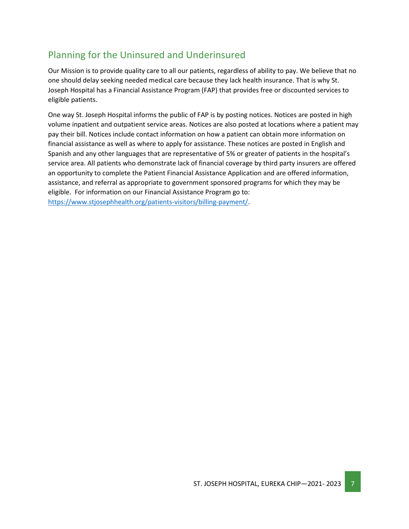# <span id="page-6-0"></span>Planning for the Uninsured and Underinsured

Our Mission is to provide quality care to all our patients, regardless of ability to pay. We believe that no one should delay seeking needed medical care because they lack health insurance. That is why St. Joseph Hospital has a Financial Assistance Program (FAP) that provides free or discounted services to eligible patients.

One way St. Joseph Hospital informs the public of FAP is by posting notices. Notices are posted in high volume inpatient and outpatient service areas. Notices are also posted at locations where a patient may pay their bill. Notices include contact information on how a patient can obtain more information on financial assistance as well as where to apply for assistance. These notices are posted in English and Spanish and any other languages that are representative of 5% or greater of patients in the hospital's service area. All patients who demonstrate lack of financial coverage by third party insurers are offered an opportunity to complete the Patient Financial Assistance Application and are offered information, assistance, and referral as appropriate to government sponsored programs for which they may be eligible. For information on our Financial Assistance Program go to: [https://www.stjosephhealth.org/patients-visitors/billing-payment/.](https://www.stjosephhealth.org/patients-visitors/billing-payment/)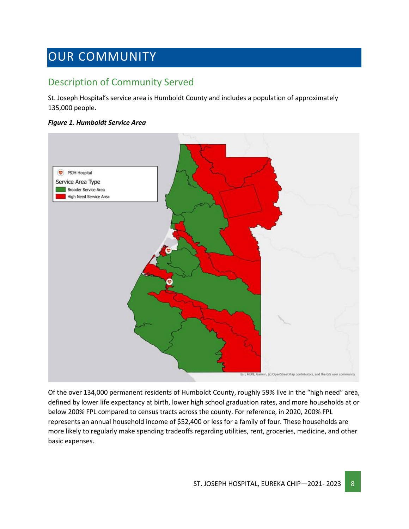# <span id="page-7-0"></span>OUR COMMUNITY

# <span id="page-7-1"></span>Description of Community Served

St. Joseph Hospital's service area is Humboldt County and includes a population of approximately 135,000 people.

#### *Figure 1. Humboldt Service Area*



Of the over 134,000 permanent residents of Humboldt County, roughly 59% live in the "high need" area, defined by lower life expectancy at birth, lower high school graduation rates, and more households at or below 200% FPL compared to census tracts across the county. For reference, in 2020, 200% FPL represents an annual household income of \$52,400 or less for a family of four. These households are more likely to regularly make spending tradeoffs regarding utilities, rent, groceries, medicine, and other basic expenses.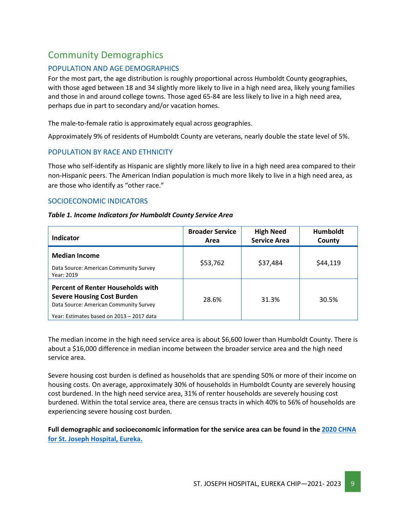# <span id="page-8-0"></span>Community Demographics

#### POPULATION AND AGE DEMOGRAPHICS

For the most part, the age distribution is roughly proportional across Humboldt County geographies, with those aged between 18 and 34 slightly more likely to live in a high need area, likely young families and those in and around college towns. Those aged 65-84 are less likely to live in a high need area, perhaps due in part to secondary and/or vacation homes.

The male-to-female ratio is approximately equal across geographies.

Approximately 9% of residents of Humboldt County are veterans, nearly double the state level of 5%.

#### POPULATION BY RACE AND ETHNICITY

Those who self-identify as Hispanic are slightly more likely to live in a high need area compared to their non-Hispanic peers. The American Indian population is much more likely to live in a high need area, as are those who identify as "other race."

#### SOCIOECONOMIC INDICATORS

#### *Table 1. Income Indicators for Humboldt County Service Area*

| Indicator                                                                                                                                                            | <b>Broader Service</b><br>Area | <b>High Need</b><br><b>Service Area</b> | <b>Humboldt</b><br>County |
|----------------------------------------------------------------------------------------------------------------------------------------------------------------------|--------------------------------|-----------------------------------------|---------------------------|
| <b>Median Income</b><br>Data Source: American Community Survey<br>Year: 2019                                                                                         | \$53,762                       | \$37,484                                | \$44,119                  |
| <b>Percent of Renter Households with</b><br><b>Severe Housing Cost Burden</b><br>Data Source: American Community Survey<br>Year: Estimates based on 2013 - 2017 data | 28.6%                          | 31.3%                                   | 30.5%                     |

The median income in the high need service area is about \$6,600 lower than Humboldt County. There is about a \$16,000 difference in median income between the broader service area and the high need service area.

Severe housing cost burden is defined as households that are spending 50% or more of their income on housing costs. On average, approximately 30% of households in Humboldt County are severely housing cost burdened. In the high need service area, 31% of renter households are severely housing cost burdened. Within the total service area, there are census tracts in which 40% to 56% of households are experiencing severe housing cost burden.

**Full demographic and socioeconomic information for the service area can be found in th[e 2020 CHNA](https://www.providence.org/about/annual-report/chna-and-chip-reports)  [for St. Joseph Hospital, Eureka.](https://www.providence.org/about/annual-report/chna-and-chip-reports)**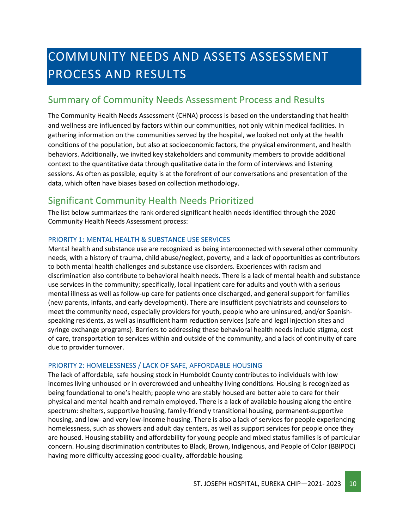# <span id="page-9-0"></span>COMMUNITY NEEDS AND ASSETS ASSESSMENT PROCESS AND RESULTS

### <span id="page-9-1"></span>Summary of Community Needs Assessment Process and Results

The Community Health Needs Assessment (CHNA) process is based on the understanding that health and wellness are influenced by factors within our communities, not only within medical facilities. In gathering information on the communities served by the hospital, we looked not only at the health conditions of the population, but also at socioeconomic factors, the physical environment, and health behaviors. Additionally, we invited key stakeholders and community members to provide additional context to the quantitative data through qualitative data in the form of interviews and listening sessions. As often as possible, equity is at the forefront of our conversations and presentation of the data, which often have biases based on collection methodology.

# <span id="page-9-2"></span>Significant Community Health Needs Prioritized

The list below summarizes the rank ordered significant health needs identified through the 2020 Community Health Needs Assessment process:

#### PRIORITY 1: MENTAL HEALTH & SUBSTANCE USE SERVICES

Mental health and substance use are recognized as being interconnected with several other community needs, with a history of trauma, child abuse/neglect, poverty, and a lack of opportunities as contributors to both mental health challenges and substance use disorders. Experiences with racism and discrimination also contribute to behavioral health needs. There is a lack of mental health and substance use services in the community; specifically, local inpatient care for adults and youth with a serious mental illness as well as follow-up care for patients once discharged, and general support for families (new parents, infants, and early development). There are insufficient psychiatrists and counselors to meet the community need, especially providers for youth, people who are uninsured, and/or Spanishspeaking residents, as well as insufficient harm reduction services (safe and legal injection sites and syringe exchange programs). Barriers to addressing these behavioral health needs include stigma, cost of care, transportation to services within and outside of the community, and a lack of continuity of care due to provider turnover.

#### PRIORITY 2: HOMELESSNESS / LACK OF SAFE, AFFORDABLE HOUSING

The lack of affordable, safe housing stock in Humboldt County contributes to individuals with low incomes living unhoused or in overcrowded and unhealthy living conditions. Housing is recognized as being foundational to one's health; people who are stably housed are better able to care for their physical and mental health and remain employed. There is a lack of available housing along the entire spectrum: shelters, supportive housing, family-friendly transitional housing, permanent-supportive housing, and low- and very low-income housing. There is also a lack of services for people experiencing homelessness, such as showers and adult day centers, as well as support services for people once they are housed. Housing stability and affordability for young people and mixed status families is of particular concern. Housing discrimination contributes to Black, Brown, Indigenous, and People of Color (BBIPOC) having more difficulty accessing good-quality, affordable housing.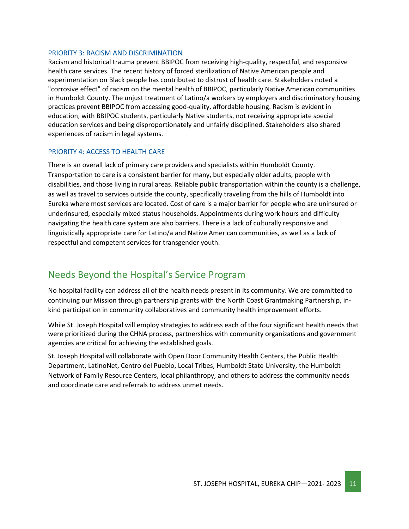#### PRIORITY 3: RACISM AND DISCRIMINATION

Racism and historical trauma prevent BBIPOC from receiving high-quality, respectful, and responsive health care services. The recent history of forced sterilization of Native American people and experimentation on Black people has contributed to distrust of health care. Stakeholders noted a "corrosive effect" of racism on the mental health of BBIPOC, particularly Native American communities in Humboldt County. The unjust treatment of Latino/a workers by employers and discriminatory housing practices prevent BBIPOC from accessing good-quality, affordable housing. Racism is evident in education, with BBIPOC students, particularly Native students, not receiving appropriate special education services and being disproportionately and unfairly disciplined. Stakeholders also shared experiences of racism in legal systems.

#### PRIORITY 4: ACCESS TO HEALTH CARE

There is an overall lack of primary care providers and specialists within Humboldt County. Transportation to care is a consistent barrier for many, but especially older adults, people with disabilities, and those living in rural areas. Reliable public transportation within the county is a challenge, as well as travel to services outside the county, specifically traveling from the hills of Humboldt into Eureka where most services are located. Cost of care is a major barrier for people who are uninsured or underinsured, especially mixed status households. Appointments during work hours and difficulty navigating the health care system are also barriers. There is a lack of culturally responsive and linguistically appropriate care for Latino/a and Native American communities, as well as a lack of respectful and competent services for transgender youth.

### <span id="page-10-0"></span>Needs Beyond the Hospital's Service Program

No hospital facility can address all of the health needs present in its community. We are committed to continuing our Mission through partnership grants with the North Coast Grantmaking Partnership, inkind participation in community collaboratives and community health improvement efforts.

While St. Joseph Hospital will employ strategies to address each of the four significant health needs that were prioritized during the CHNA process, partnerships with community organizations and government agencies are critical for achieving the established goals.

St. Joseph Hospital will collaborate with Open Door Community Health Centers, the Public Health Department, LatinoNet, Centro del Pueblo, Local Tribes, Humboldt State University, the Humboldt Network of Family Resource Centers, local philanthropy, and others to address the community needs and coordinate care and referrals to address unmet needs.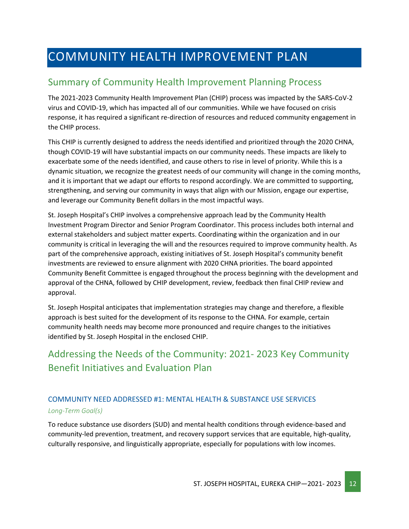# <span id="page-11-0"></span>COMMUNITY HEALTH IMPROVEMENT PLAN

### <span id="page-11-1"></span>Summary of Community Health Improvement Planning Process

The 2021-2023 Community Health Improvement Plan (CHIP) process was impacted by the SARS-CoV-2 virus and COVID-19, which has impacted all of our communities. While we have focused on crisis response, it has required a significant re-direction of resources and reduced community engagement in the CHIP process.

This CHIP is currently designed to address the needs identified and prioritized through the 2020 CHNA, though COVID-19 will have substantial impacts on our community needs. These impacts are likely to exacerbate some of the needs identified, and cause others to rise in level of priority. While this is a dynamic situation, we recognize the greatest needs of our community will change in the coming months, and it is important that we adapt our efforts to respond accordingly. We are committed to supporting, strengthening, and serving our community in ways that align with our Mission, engage our expertise, and leverage our Community Benefit dollars in the most impactful ways.

St. Joseph Hospital's CHIP involves a comprehensive approach lead by the Community Health Investment Program Director and Senior Program Coordinator. This process includes both internal and external stakeholders and subject matter experts. Coordinating within the organization and in our community is critical in leveraging the will and the resources required to improve community health. As part of the comprehensive approach, existing initiatives of St. Joseph Hospital's community benefit investments are reviewed to ensure alignment with 2020 CHNA priorities. The board appointed Community Benefit Committee is engaged throughout the process beginning with the development and approval of the CHNA, followed by CHIP development, review, feedback then final CHIP review and approval.

St. Joseph Hospital anticipates that implementation strategies may change and therefore, a flexible approach is best suited for the development of its response to the CHNA. For example, certain community health needs may become more pronounced and require changes to the initiatives identified by St. Joseph Hospital in the enclosed CHIP.

# <span id="page-11-2"></span>Addressing the Needs of the Community: 2021- 2023 Key Community Benefit Initiatives and Evaluation Plan

#### COMMUNITY NEED ADDRESSED #1: MENTAL HEALTH & SUBSTANCE USE SERVICES *Long-Term Goal(s)*

To reduce substance use disorders (SUD) and mental health conditions through evidence-based and community-led prevention, treatment, and recovery support services that are equitable, high-quality, culturally responsive, and linguistically appropriate, especially for populations with low incomes.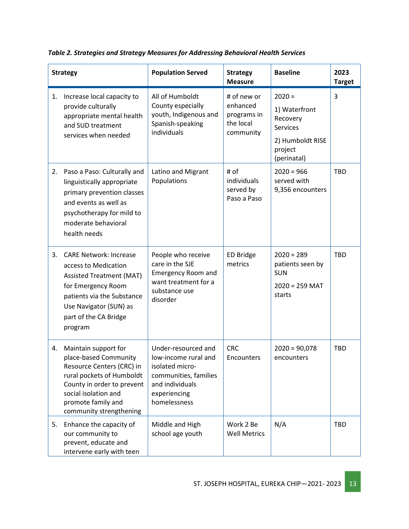|    | <b>Strategy</b>                                                                                                                                                                                                | <b>Population Served</b>                                                                                                                   | <b>Strategy</b><br><b>Measure</b>                                | <b>Baseline</b>                                                                                        | 2023<br><b>Target</b> |
|----|----------------------------------------------------------------------------------------------------------------------------------------------------------------------------------------------------------------|--------------------------------------------------------------------------------------------------------------------------------------------|------------------------------------------------------------------|--------------------------------------------------------------------------------------------------------|-----------------------|
| 1. | Increase local capacity to<br>provide culturally<br>appropriate mental health<br>and SUD treatment<br>services when needed                                                                                     | All of Humboldt<br>County especially<br>youth, Indigenous and<br>Spanish-speaking<br>individuals                                           | # of new or<br>enhanced<br>programs in<br>the local<br>community | $2020 =$<br>1) Waterfront<br>Recovery<br><b>Services</b><br>2) Humboldt RISE<br>project<br>(perinatal) | 3                     |
| 2. | Paso a Paso: Culturally and<br>linguistically appropriate<br>primary prevention classes<br>and events as well as<br>psychotherapy for mild to<br>moderate behavioral<br>health needs                           | Latino and Migrant<br>Populations                                                                                                          | # of<br>individuals<br>served by<br>Paso a Paso                  | $2020 = 966$<br>served with<br>9,356 encounters                                                        | <b>TBD</b>            |
| 3. | <b>CARE Network: Increase</b><br>access to Medication<br><b>Assisted Treatment (MAT)</b><br>for Emergency Room<br>patients via the Substance<br>Use Navigator (SUN) as<br>part of the CA Bridge<br>program     | People who receive<br>care in the SJE<br><b>Emergency Room and</b><br>want treatment for a<br>substance use<br>disorder                    | <b>ED Bridge</b><br>metrics                                      | $2020 = 289$<br>patients seen by<br><b>SUN</b><br>$2020 = 259$ MAT<br>starts                           | <b>TBD</b>            |
| 4. | Maintain support for<br>place-based Community<br>Resource Centers (CRC) in<br>rural pockets of Humboldt<br>County in order to prevent<br>social isolation and<br>promote family and<br>community strengthening | Under-resourced and<br>low-income rural and<br>isolated micro-<br>communities, families<br>and individuals<br>experiencing<br>homelessness | <b>CRC</b><br>Encounters                                         | $2020 = 90,078$<br>encounters                                                                          | <b>TBD</b>            |
| 5. | Enhance the capacity of<br>our community to<br>prevent, educate and<br>intervene early with teen                                                                                                               | Middle and High<br>school age youth                                                                                                        | Work 2 Be<br><b>Well Metrics</b>                                 | N/A                                                                                                    | <b>TBD</b>            |

*Table 2. Strategies and Strategy Measures for Addressing Behavioral Health Services*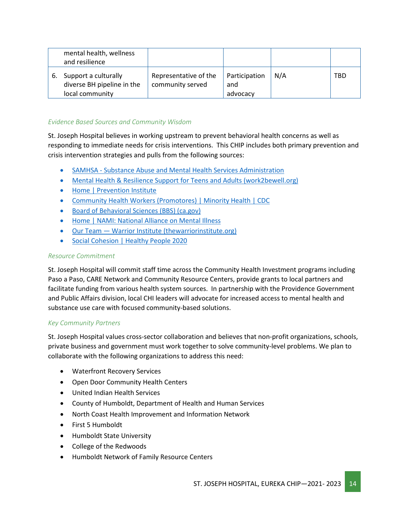|    | mental health, wellness<br>and resilience                             |                                           |                                  |     |     |
|----|-----------------------------------------------------------------------|-------------------------------------------|----------------------------------|-----|-----|
| 6. | Support a culturally<br>diverse BH pipeline in the<br>local community | Representative of the<br>community served | Participation<br>and<br>advocacy | N/A | TBD |

#### *Evidence Based Sources and Community Wisdom*

St. Joseph Hospital believes in working upstream to prevent behavioral health concerns as well as responding to immediate needs for crisis interventions. This CHIP includes both primary prevention and crisis intervention strategies and pulls from the following sources:

- SAMHSA [Substance Abuse and Mental Health Services Administration](https://www.samhsa.gov/)
- [Mental Health & Resilience Support for Teens and Adults \(work2bewell.org\)](https://work2bewell.org/)
- [Home | Prevention Institute](https://www.preventioninstitute.org/)
- [Community Health Workers \(Promotores\) | Minority Health | CDC](https://www.cdc.gov/minorityhealth/promotores/index.html)
- [Board of Behavioral Sciences \(BBS\) \(ca.gov\)](https://www.bbs.ca.gov/)
- [Home | NAMI: National Alliance on Mental Illness](https://www.nami.org/Home)
- Our Team [Warrior Institute \(thewarriorinstitute.org\)](http://www.thewarriorinstitute.org/our-team)
- [Social Cohesion | Healthy People 2020](https://www.healthypeople.gov/2020/topics-objectives/topic/social-determinants-health/interventions-resources/social-cohesion)

#### *Resource Commitment*

St. Joseph Hospital will commit staff time across the Community Health Investment programs including Paso a Paso, CARE Network and Community Resource Centers, provide grants to local partners and facilitate funding from various health system sources. In partnership with the Providence Government and Public Affairs division, local CHI leaders will advocate for increased access to mental health and substance use care with focused community-based solutions.

#### *Key Community Partners*

St. Joseph Hospital values cross-sector collaboration and believes that non-profit organizations, schools, private business and government must work together to solve community-level problems. We plan to collaborate with the following organizations to address this need:

- Waterfront Recovery Services
- Open Door Community Health Centers
- United Indian Health Services
- County of Humboldt, Department of Health and Human Services
- North Coast Health Improvement and Information Network
- First 5 Humboldt
- Humboldt State University
- College of the Redwoods
- Humboldt Network of Family Resource Centers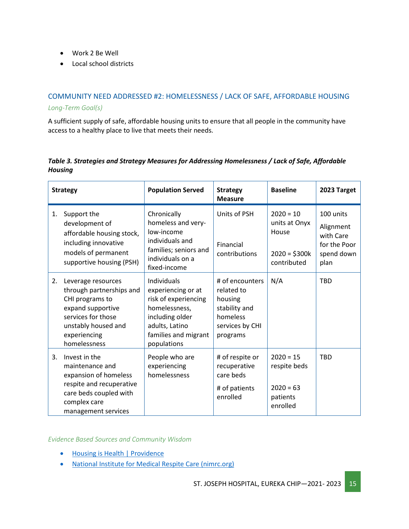- Work 2 Be Well
- Local school districts

#### COMMUNITY NEED ADDRESSED #2: HOMELESSNESS / LACK OF SAFE, AFFORDABLE HOUSING *Long-Term Goal(s)*

A sufficient supply of safe, affordable housing units to ensure that all people in the community have access to a healthy place to live that meets their needs.

#### *Table 3. Strategies and Strategy Measures for Addressing Homelessness / Lack of Safe, Affordable Housing*

| <b>Strategy</b> |                                                                                                                                                                     | <b>Population Served</b>                                                                                                                               | <b>Strategy</b><br><b>Measure</b>                                                                    | <b>Baseline</b>                                                        | 2023 Target                                                               |
|-----------------|---------------------------------------------------------------------------------------------------------------------------------------------------------------------|--------------------------------------------------------------------------------------------------------------------------------------------------------|------------------------------------------------------------------------------------------------------|------------------------------------------------------------------------|---------------------------------------------------------------------------|
| 1.              | Support the<br>development of<br>affordable housing stock,<br>including innovative<br>models of permanent<br>supportive housing (PSH)                               | Chronically<br>homeless and very-<br>low-income<br>individuals and<br>families; seniors and<br>individuals on a<br>fixed-income                        | Units of PSH<br>Financial<br>contributions                                                           | $2020 = 10$<br>units at Onyx<br>House<br>$2020 = $300k$<br>contributed | 100 units<br>Alignment<br>with Care<br>for the Poor<br>spend down<br>plan |
| 2.              | Leverage resources<br>through partnerships and<br>CHI programs to<br>expand supportive<br>services for those<br>unstably housed and<br>experiencing<br>homelessness | Individuals<br>experiencing or at<br>risk of experiencing<br>homelessness,<br>including older<br>adults, Latino<br>families and migrant<br>populations | # of encounters<br>related to<br>housing<br>stability and<br>homeless<br>services by CHI<br>programs | N/A                                                                    | <b>TBD</b>                                                                |
| 3.              | Invest in the<br>maintenance and<br>expansion of homeless<br>respite and recuperative<br>care beds coupled with<br>complex care<br>management services              | People who are<br>experiencing<br>homelessness                                                                                                         | # of respite or<br>recuperative<br>care beds<br># of patients<br>enrolled                            | $2020 = 15$<br>respite beds<br>$2020 = 63$<br>patients<br>enrolled     | <b>TBD</b>                                                                |

*Evidence Based Sources and Community Wisdom*

- [Housing is Health | Providence](https://www.providence.org/lp/housing-is-health)
- [National Institute for Medical Respite Care \(nimrc.org\)](https://nimrc.org/)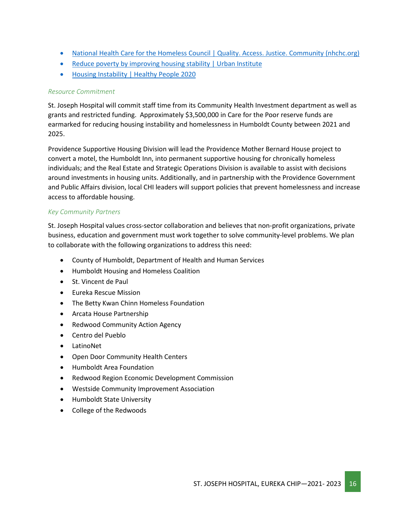- [National Health Care for the Homeless Council | Quality. Access. Justice. Community \(nhchc.org\)](https://nhchc.org/)
- [Reduce poverty by improving housing stability | Urban Institute](https://www.urban.org/urban-wire/reduce-poverty-improving-housing-stability)
- [Housing Instability | Healthy People 2020](https://www.healthypeople.gov/2020/topics-objectives/topic/social-determinants-health/interventions-resources/housing-instability)

#### *Resource Commitment*

St. Joseph Hospital will commit staff time from its Community Health Investment department as well as grants and restricted funding. Approximately \$3,500,000 in Care for the Poor reserve funds are earmarked for reducing housing instability and homelessness in Humboldt County between 2021 and 2025.

Providence Supportive Housing Division will lead the Providence Mother Bernard House project to convert a motel, the Humboldt Inn, into permanent supportive housing for chronically homeless individuals; and the Real Estate and Strategic Operations Division is available to assist with decisions around investments in housing units. Additionally, and in partnership with the Providence Government and Public Affairs division, local CHI leaders will support policies that prevent homelessness and increase access to affordable housing.

#### *Key Community Partners*

St. Joseph Hospital values cross-sector collaboration and believes that non-profit organizations, private business, education and government must work together to solve community-level problems. We plan to collaborate with the following organizations to address this need:

- County of Humboldt, Department of Health and Human Services
- Humboldt Housing and Homeless Coalition
- St. Vincent de Paul
- Eureka Rescue Mission
- The Betty Kwan Chinn Homeless Foundation
- Arcata House Partnership
- Redwood Community Action Agency
- Centro del Pueblo
- LatinoNet
- Open Door Community Health Centers
- Humboldt Area Foundation
- Redwood Region Economic Development Commission
- Westside Community Improvement Association
- Humboldt State University
- College of the Redwoods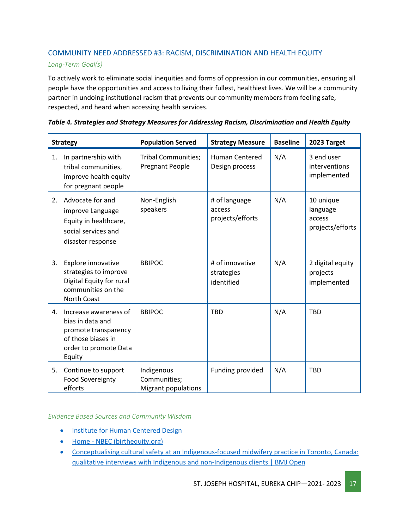#### COMMUNITY NEED ADDRESSED #3: RACISM, DISCRIMINATION AND HEALTH EQUITY

#### *Long-Term Goal(s)*

To actively work to eliminate social inequities and forms of oppression in our communities, ensuring all people have the opportunities and access to living their fullest, healthiest lives. We will be a community partner in undoing institutional racism that prevents our community members from feeling safe, respected, and heard when accessing health services.

|    | <b>Strategy</b>                                                                                                            | <b>Population Served</b>                                 | <b>Strategy Measure</b>                     | <b>Baseline</b> | 2023 Target                                         |
|----|----------------------------------------------------------------------------------------------------------------------------|----------------------------------------------------------|---------------------------------------------|-----------------|-----------------------------------------------------|
| 1. | In partnership with<br>tribal communities,<br>improve health equity<br>for pregnant people                                 | <b>Tribal Communities;</b><br><b>Pregnant People</b>     | <b>Human Centered</b><br>Design process     | N/A             | 3 end user<br>interventions<br>implemented          |
| 2. | Advocate for and<br>improve Language<br>Equity in healthcare,<br>social services and<br>disaster response                  | Non-English<br>speakers                                  | # of language<br>access<br>projects/efforts | N/A             | 10 unique<br>language<br>access<br>projects/efforts |
| 3. | Explore innovative<br>strategies to improve<br>Digital Equity for rural<br>communities on the<br>North Coast               | <b>BBIPOC</b>                                            | # of innovative<br>strategies<br>identified | N/A             | 2 digital equity<br>projects<br>implemented         |
| 4. | Increase awareness of<br>bias in data and<br>promote transparency<br>of those biases in<br>order to promote Data<br>Equity | <b>BBIPOC</b>                                            | <b>TBD</b>                                  | N/A             | <b>TBD</b>                                          |
| 5. | Continue to support<br><b>Food Sovereignty</b><br>efforts                                                                  | Indigenous<br>Communities;<br><b>Migrant populations</b> | Funding provided                            | N/A             | <b>TBD</b>                                          |

#### *Table 4. Strategies and Strategy Measures for Addressing Racism, Discrimination and Health Equity*

#### *Evidence Based Sources and Community Wisdom*

- [Institute for Human Centered Design](https://humancentereddesign.org/)
- Home [NBEC \(birthequity.org\)](https://birthequity.org/)
- [Conceptualising cultural safety at an Indigenous-focused midwifery practice in Toronto, Canada:](https://bmjopen.bmj.com/content/10/9/e038168)  [qualitative interviews with Indigenous and non-Indigenous clients | BMJ Open](https://bmjopen.bmj.com/content/10/9/e038168)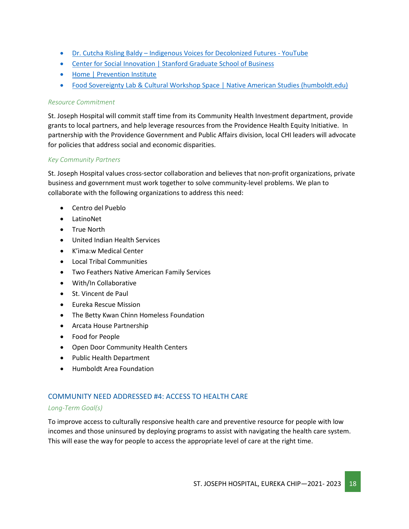- Dr. Cutcha Risling Baldy [Indigenous Voices for Decolonized Futures -](https://www.youtube.com/watch?v=QQfrQyb4yw4) YouTube
- [Center for Social Innovation | Stanford Graduate School of Business](https://www.gsb.stanford.edu/faculty-research/centers-initiatives/csi)
- [Home | Prevention Institute](https://www.preventioninstitute.org/)
- [Food Sovereignty Lab & Cultural Workshop Space | Native American Studies \(humboldt.edu\)](https://nasp.humboldt.edu/fsl)

#### *Resource Commitment*

St. Joseph Hospital will commit staff time from its Community Health Investment department, provide grants to local partners, and help leverage resources from the Providence Health Equity Initiative. In partnership with the Providence Government and Public Affairs division, local CHI leaders will advocate for policies that address social and economic disparities.

#### *Key Community Partners*

St. Joseph Hospital values cross-sector collaboration and believes that non-profit organizations, private business and government must work together to solve community-level problems. We plan to collaborate with the following organizations to address this need:

- Centro del Pueblo
- LatinoNet
- True North
- United Indian Health Services
- K'ima:w Medical Center
- Local Tribal Communities
- Two Feathers Native American Family Services
- With/In Collaborative
- St. Vincent de Paul
- Eureka Rescue Mission
- The Betty Kwan Chinn Homeless Foundation
- Arcata House Partnership
- Food for People
- Open Door Community Health Centers
- Public Health Department
- Humboldt Area Foundation

#### COMMUNITY NEED ADDRESSED #4: ACCESS TO HEALTH CARE

#### *Long-Term Goal(s)*

To improve access to culturally responsive health care and preventive resource for people with low incomes and those uninsured by deploying programs to assist with navigating the health care system. This will ease the way for people to access the appropriate level of care at the right time.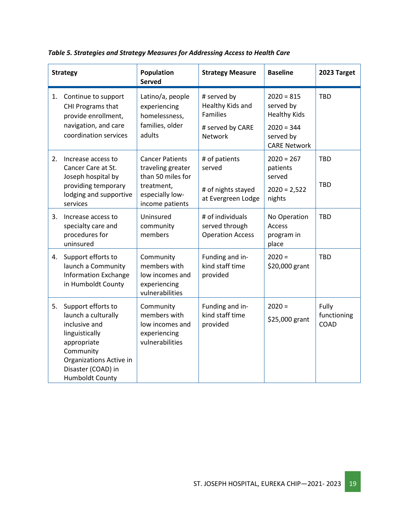|    | <b>Strategy</b>                                                                                                                                                                     | <b>Population</b><br><b>Served</b>                                              | <b>Strategy Measure</b>                                                                  | <b>Baseline</b>                                                               | 2023 Target                  |
|----|-------------------------------------------------------------------------------------------------------------------------------------------------------------------------------------|---------------------------------------------------------------------------------|------------------------------------------------------------------------------------------|-------------------------------------------------------------------------------|------------------------------|
| 1. | Continue to support<br>CHI Programs that<br>provide enrollment,<br>navigation, and care<br>coordination services                                                                    | Latino/a, people<br>experiencing<br>homelessness,<br>families, older<br>adults  | # served by<br>Healthy Kids and<br><b>Families</b><br># served by CARE<br><b>Network</b> | $2020 = 815$<br>served by<br><b>Healthy Kids</b><br>$2020 = 344$<br>served by | <b>TBD</b>                   |
|    |                                                                                                                                                                                     |                                                                                 |                                                                                          | <b>CARE Network</b>                                                           |                              |
| 2. | Increase access to<br>Cancer Care at St.<br>Joseph hospital by                                                                                                                      | <b>Cancer Patients</b><br>traveling greater<br>than 50 miles for                | # of patients<br>served                                                                  | $2020 = 267$<br>patients<br>served                                            | <b>TBD</b>                   |
|    | providing temporary<br>lodging and supportive<br>services                                                                                                                           | treatment,<br>especially low-<br>income patients                                | # of nights stayed<br>at Evergreen Lodge                                                 | $2020 = 2,522$<br>nights                                                      | <b>TBD</b>                   |
| 3. | Increase access to<br>specialty care and<br>procedures for<br>uninsured                                                                                                             | Uninsured<br>community<br>members                                               | # of individuals<br>served through<br><b>Operation Access</b>                            | No Operation<br>Access<br>program in<br>place                                 | <b>TBD</b>                   |
| 4. | Support efforts to<br>launch a Community<br><b>Information Exchange</b><br>in Humboldt County                                                                                       | Community<br>members with<br>low incomes and<br>experiencing<br>vulnerabilities | Funding and in-<br>kind staff time<br>provided                                           | $2020 =$<br>\$20,000 grant                                                    | <b>TBD</b>                   |
| 5. | Support efforts to<br>launch a culturally<br>inclusive and<br>linguistically<br>appropriate<br>Community<br>Organizations Active in<br>Disaster (COAD) in<br><b>Humboldt County</b> | Community<br>members with<br>low incomes and<br>experiencing<br>vulnerabilities | Funding and in-<br>kind staff time<br>provided                                           | $2020 =$<br>\$25,000 grant                                                    | Fully<br>functioning<br>COAD |

*Table 5. Strategies and Strategy Measures for Addressing Access to Health Care*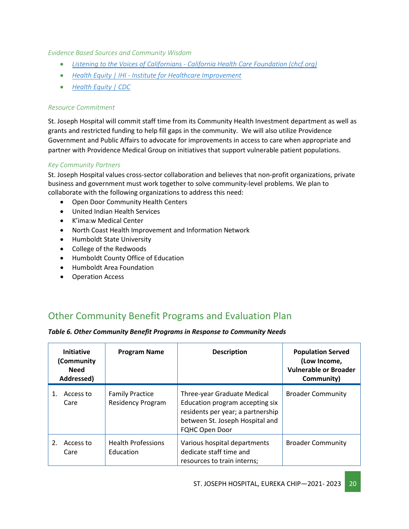*Evidence Based Sources and Community Wisdom*

- *Listening to the Voices of Californians - [California Health Care Foundation \(chcf.org\)](https://www.chcf.org/collection/listening-californians/)*
- *Health Equity | IHI - [Institute for Healthcare Improvement](http://www.ihi.org/Topics/Health-Equity/Pages/default.aspx)*
- *[Health Equity | CDC](https://www.cdc.gov/chronicdisease/healthequity/index.htm)*

#### *Resource Commitment*

St. Joseph Hospital will commit staff time from its Community Health Investment department as well as grants and restricted funding to help fill gaps in the community. We will also utilize Providence Government and Public Affairs to advocate for improvements in access to care when appropriate and partner with Providence Medical Group on initiatives that support vulnerable patient populations.

#### *Key Community Partners*

St. Joseph Hospital values cross-sector collaboration and believes that non-profit organizations, private business and government must work together to solve community-level problems. We plan to collaborate with the following organizations to address this need:

- Open Door Community Health Centers
- United Indian Health Services
- K'ima:w Medical Center
- North Coast Health Improvement and Information Network
- Humboldt State University
- College of the Redwoods
- Humboldt County Office of Education
- Humboldt Area Foundation
- Operation Access

# <span id="page-19-0"></span>Other Community Benefit Programs and Evaluation Plan

|  |  |  |  |  | Table 6. Other Community Benefit Programs in Response to Community Needs |  |
|--|--|--|--|--|--------------------------------------------------------------------------|--|
|--|--|--|--|--|--------------------------------------------------------------------------|--|

| <b>Initiative</b><br>(Community<br><b>Need</b><br>Addressed) | <b>Program Name</b>                                | <b>Description</b>                                                                                                                                              | <b>Population Served</b><br>(Low Income,<br>Vulnerable or Broader<br>Community) |
|--------------------------------------------------------------|----------------------------------------------------|-----------------------------------------------------------------------------------------------------------------------------------------------------------------|---------------------------------------------------------------------------------|
| Access to<br>Care                                            | <b>Family Practice</b><br><b>Residency Program</b> | Three-year Graduate Medical<br>Education program accepting six<br>residents per year; a partnership<br>between St. Joseph Hospital and<br><b>FQHC Open Door</b> | <b>Broader Community</b>                                                        |
| Access to<br>Care                                            | <b>Health Professions</b><br>Education             | Various hospital departments<br>dedicate staff time and<br>resources to train interns;                                                                          | <b>Broader Community</b>                                                        |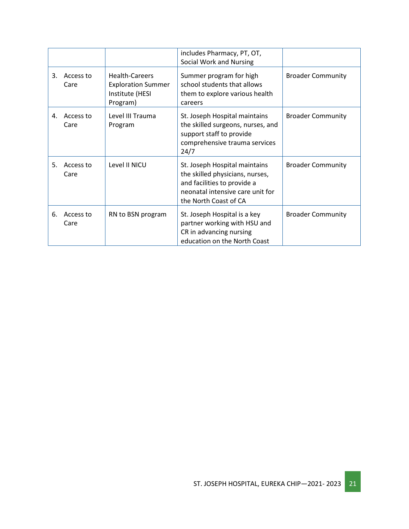|    |                   |                                                                                   | includes Pharmacy, PT, OT,<br>Social Work and Nursing                                                                                                        |                          |
|----|-------------------|-----------------------------------------------------------------------------------|--------------------------------------------------------------------------------------------------------------------------------------------------------------|--------------------------|
| 3. | Access to<br>Care | <b>Health-Careers</b><br><b>Exploration Summer</b><br>Institute (HESI<br>Program) | Summer program for high<br>school students that allows<br>them to explore various health<br>careers                                                          | <b>Broader Community</b> |
| 4. | Access to<br>Care | Level III Trauma<br>Program                                                       | St. Joseph Hospital maintains<br>the skilled surgeons, nurses, and<br>support staff to provide<br>comprehensive trauma services<br>24/7                      | <b>Broader Community</b> |
| 5. | Access to<br>Care | Level II NICU                                                                     | St. Joseph Hospital maintains<br>the skilled physicians, nurses,<br>and facilities to provide a<br>neonatal intensive care unit for<br>the North Coast of CA | <b>Broader Community</b> |
| 6. | Access to<br>Care | RN to BSN program                                                                 | St. Joseph Hospital is a key<br>partner working with HSU and<br>CR in advancing nursing<br>education on the North Coast                                      | <b>Broader Community</b> |